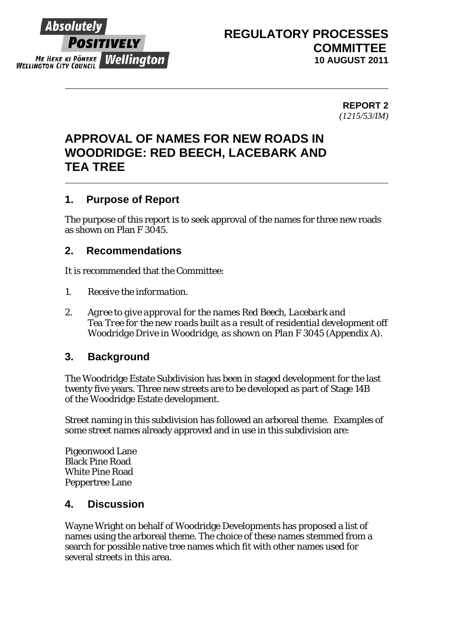

## **REGULATORY PROCESSES COMMITTEE 10 AUGUST 2011**

**REPORT 2**  *(1215/53/IM)* 

## **APPROVAL OF NAMES FOR NEW ROADS IN WOODRIDGE: RED BEECH, LACEBARK AND TEA TREE**

## **1. Purpose of Report**

The purpose of this report is to seek approval of the names for three new roads as shown on Plan F 3045.

## **2. Recommendations**

It is recommended that the Committee:

- *1. Receive the information.*
- *2. Agree to give approval for the names Red Beech, Lacebark and Tea Tree for the new roads built as a result of residential development off Woodridge Drive in Woodridge, as shown on Plan F 3045 (Appendix A).*

## **3. Background**

The Woodridge Estate Subdivision has been in staged development for the last twenty five years. Three new streets are to be developed as part of Stage 14B of the Woodridge Estate development.

Street naming in this subdivision has followed an arboreal theme. Examples of some street names already approved and in use in this subdivision are:

Pigeonwood Lane Black Pine Road White Pine Road Peppertree Lane

## **4. Discussion**

Wayne Wright on behalf of Woodridge Developments has proposed a list of names using the arboreal theme. The choice of these names stemmed from a search for possible native tree names which fit with other names used for several streets in this area.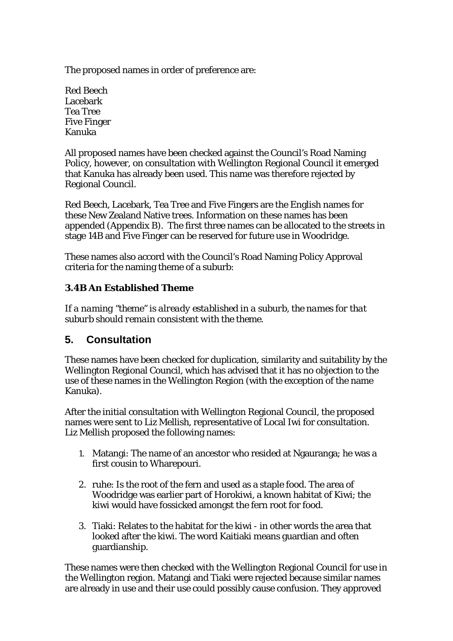The proposed names in order of preference are:

Red Beech Lacebark Tea Tree Five Finger Kanuka

All proposed names have been checked against the Council's Road Naming Policy, however, on consultation with Wellington Regional Council it emerged that Kanuka has already been used. This name was therefore rejected by Regional Council.

Red Beech, Lacebark, Tea Tree and Five Fingers are the English names for these New Zealand Native trees. Information on these names has been appended (*Appendix B*). The first three names can be allocated to the streets in stage 14B and Five Finger can be reserved for future use in Woodridge.

These names also accord with the Council's Road Naming Policy Approval criteria for the naming theme of a suburb:

### **3.4B An Established Theme**

*If a naming "theme" is already established in a suburb, the names for that suburb should remain consistent with the theme.* 

## **5. Consultation**

These names have been checked for duplication, similarity and suitability by the Wellington Regional Council, which has advised that it has no objection to the use of these names in the Wellington Region (with the exception of the name Kanuka).

After the initial consultation with Wellington Regional Council, the proposed names were sent to Liz Mellish, representative of Local Iwi for consultation. Liz Mellish proposed the following names:

- 1. Matangi: The name of an ancestor who resided at Ngauranga; he was a first cousin to Wharepouri.
- 2. ruhe: Is the root of the fern and used as a staple food. The area of Woodridge was earlier part of Horokiwi, a known habitat of Kiwi; the kiwi would have fossicked amongst the fern root for food.
- 3. Tiaki: Relates to the habitat for the kiwi in other words the area that looked after the kiwi. The word Kaitiaki means guardian and often guardianship.

These names were then checked with the Wellington Regional Council for use in the Wellington region. Matangi and Tiaki were rejected because similar names are already in use and their use could possibly cause confusion. They approved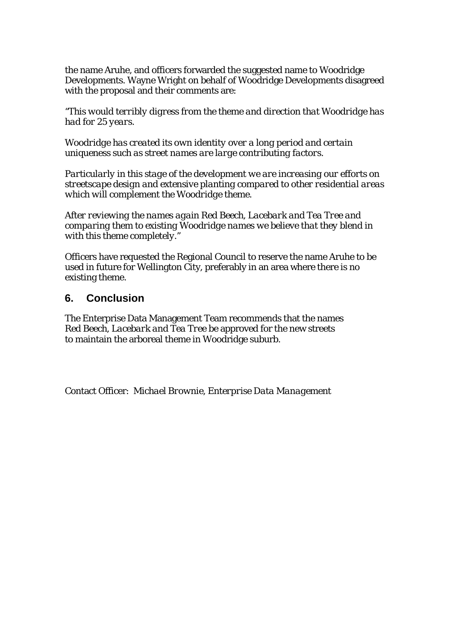the name Aruhe, and officers forwarded the suggested name to Woodridge Developments. Wayne Wright on behalf of Woodridge Developments disagreed with the proposal and their comments are:

*"This would terribly digress from the theme and direction that Woodridge has had for 25 years.* 

*Woodridge has created its own identity over a long period and certain uniqueness such as street names are large contributing factors.* 

*Particularly in this stage of the development we are increasing our efforts on streetscape design and extensive planting compared to other residential areas which will complement the Woodridge theme.* 

*After reviewing the names again Red Beech, Lacebark and Tea Tree and comparing them to existing Woodridge names we believe that they blend in with this theme completely."* 

Officers have requested the Regional Council to reserve the name Aruhe to be used in future for Wellington City, preferably in an area where there is no existing theme.

#### **6. Conclusion**

The Enterprise Data Management Team recommends that the names *Red Beech, Lacebark and Tea Tree* be approved for the new streets to maintain the arboreal theme in Woodridge suburb.

Contact Officer: *Michael Brownie, Enterprise Data Management*